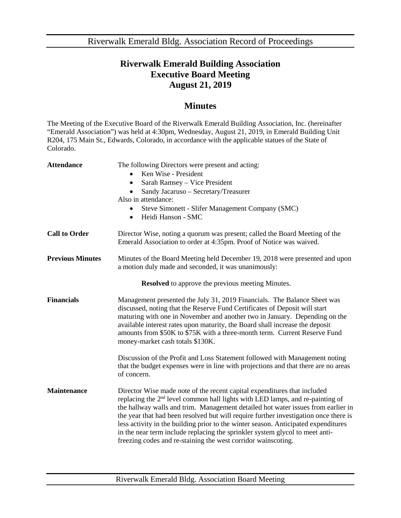Riverwalk Emerald Bldg. Association Record of Proceedings

## **Riverwalk Emerald Building Association Executive Board Meeting August 21, 2019**

## **Minutes**

The Meeting of the Executive Board of the Riverwalk Emerald Building Association, Inc. (hereinafter "Emerald Association") was held at 4:30pm, Wednesday, August 21, 2019, in Emerald Building Unit R204, 175 Main St., Edwards, Colorado, in accordance with the applicable statues of the State of Colorado.

| <b>Attendance</b>                                        | The following Directors were present and acting:<br>Ken Wise - President<br>Sarah Ramsey - Vice President<br>Sandy Jacaruso - Secretary/Treasurer<br>Also in attendance:<br>Steve Simonett - Slifer Management Company (SMC)<br>Heidi Hanson - SMC<br>$\bullet$                                                                                                                                                                                                                                                                                                                          |  |
|----------------------------------------------------------|------------------------------------------------------------------------------------------------------------------------------------------------------------------------------------------------------------------------------------------------------------------------------------------------------------------------------------------------------------------------------------------------------------------------------------------------------------------------------------------------------------------------------------------------------------------------------------------|--|
| <b>Call to Order</b>                                     | Director Wise, noting a quorum was present; called the Board Meeting of the<br>Emerald Association to order at 4:35pm. Proof of Notice was waived.                                                                                                                                                                                                                                                                                                                                                                                                                                       |  |
| <b>Previous Minutes</b>                                  | Minutes of the Board Meeting held December 19, 2018 were presented and upon<br>a motion duly made and seconded, it was unanimously:                                                                                                                                                                                                                                                                                                                                                                                                                                                      |  |
| <b>Resolved</b> to approve the previous meeting Minutes. |                                                                                                                                                                                                                                                                                                                                                                                                                                                                                                                                                                                          |  |
| <b>Financials</b>                                        | Management presented the July 31, 2019 Financials. The Balance Sheet was<br>discussed, noting that the Reserve Fund Certificates of Deposit will start<br>maturing with one in November and another two in January. Depending on the<br>available interest rates upon maturity, the Board shall increase the deposit<br>amounts from \$50K to \$75K with a three-month term. Current Reserve Fund<br>money-market cash totals \$130K.                                                                                                                                                    |  |
|                                                          | Discussion of the Profit and Loss Statement followed with Management noting<br>that the budget expenses were in line with projections and that there are no areas<br>of concern.                                                                                                                                                                                                                                                                                                                                                                                                         |  |
| <b>Maintenance</b>                                       | Director Wise made note of the recent capital expenditures that included<br>replacing the 2 <sup>nd</sup> level common hall lights with LED lamps, and re-painting of<br>the hallway walls and trim. Management detailed hot water issues from earlier in<br>the year that had been resolved but will require further investigation once there is<br>less activity in the building prior to the winter season. Anticipated expenditures<br>in the near term include replacing the sprinkler system glycol to meet anti-<br>freezing codes and re-staining the west corridor wainscoting. |  |